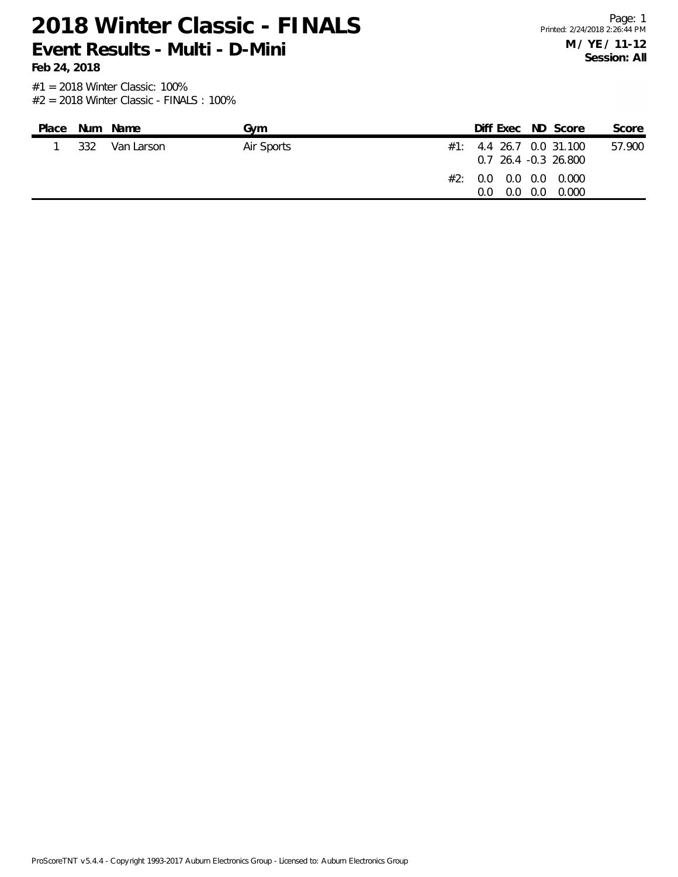**Feb 24, 2018**

Page: 1 Printed: 2/24/2018 2:26:44 PM **M / YE / 11-12 Session: All**

| Place |     | Num Name   | Gvm        | Diff Exec ND Score                                  |     |       | Score  |
|-------|-----|------------|------------|-----------------------------------------------------|-----|-------|--------|
|       | 332 | Van Larson | Air Sports | $\#1$ : 4.4 26.7 0.0 31.100<br>0.7 26.4 -0.3 26.800 |     |       | 57.900 |
|       |     |            |            | #2: 0.0 0.0 0.0 0.000<br>0.0<br>0.0                 | 0.0 | 0.000 |        |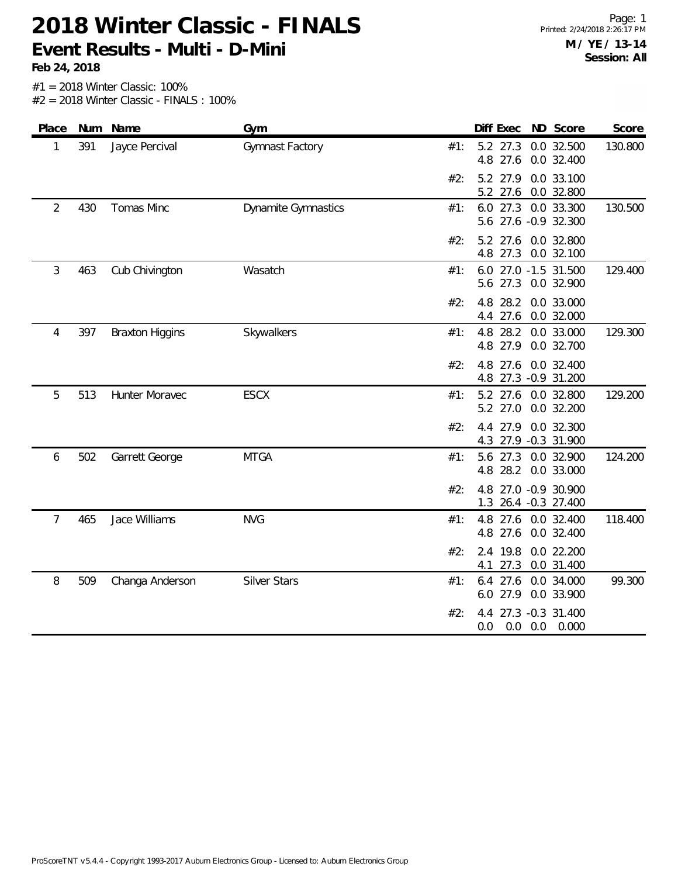**Feb 24, 2018**

| Place          |     | Num Name               | Gym                        |     | Diff Exec ND Score      |                                             | Score   |
|----------------|-----|------------------------|----------------------------|-----|-------------------------|---------------------------------------------|---------|
| 1              | 391 | Jayce Percival         | Gymnast Factory            | #1: | 5.2 27.3<br>4.8 27.6    | 0.0 32.500<br>0.0 32.400                    | 130.800 |
|                |     |                        |                            | #2: | 5.2<br>27.6             | 5.2 27.9 0.0 33.100<br>0.0 32.800           |         |
| $\overline{2}$ | 430 | Tomas Minc             | <b>Dynamite Gymnastics</b> | #1: |                         | 6.0 27.3 0.0 33.300<br>5.6 27.6 -0.9 32.300 | 130.500 |
|                |     |                        |                            | #2: | 5.2<br>27.6             | 0.0 32.800<br>4.8 27.3 0.0 32.100           |         |
| 3              | 463 | Cub Chivington         | Wasatch                    | #1: |                         | 6.0 27.0 -1.5 31.500<br>5.6 27.3 0.0 32.900 | 129.400 |
|                |     |                        |                            | #2: | 4.8<br>28.2<br>4.4 27.6 | 0.0 33.000<br>0.0 32.000                    |         |
| 4              | 397 | <b>Braxton Higgins</b> | Skywalkers                 | #1: | 4.8<br>4.8 27.9         | 28.2 0.0 33.000<br>0.0 32.700               | 129.300 |
|                |     |                        |                            | #2: | 27.6<br>4.8             | 0.0 32.400<br>4.8 27.3 -0.9 31.200          |         |
| 5              | 513 | Hunter Moravec         | <b>ESCX</b>                | #1: | 5.2 27.0                | 5.2 27.6 0.0 32.800<br>0.0 32.200           | 129.200 |
|                |     |                        |                            | #2: |                         | 4.4 27.9 0.0 32.300<br>4.3 27.9 -0.3 31.900 |         |
| 6              | 502 | Garrett George         | <b>MTGA</b>                | #1: |                         | 5.6 27.3 0.0 32.900<br>4.8 28.2 0.0 33.000  | 124.200 |
|                |     |                        |                            | #2: | 1.3                     | 4.8 27.0 -0.9 30.900<br>26.4 -0.3 27.400    |         |
| 7              | 465 | Jace Williams          | <b>NVG</b>                 | #1: | 4.8<br>4.8 27.6         | 27.6 0.0 32.400<br>0.0 32.400               | 118.400 |
|                |     |                        |                            | #2: | 2.4 19.8<br>4.1         | 0.0 22.200<br>27.3 0.0 31.400               |         |
| 8              | 509 | Changa Anderson        | <b>Silver Stars</b>        | #1: | 27.6<br>6.4             | 0.0 34.000<br>6.0 27.9 0.0 33.900           | 99.300  |
|                |     |                        |                            | #2: | 4.4<br>0.0<br>0.0       | 27.3 -0.3 31.400<br>0.0<br>0.000            |         |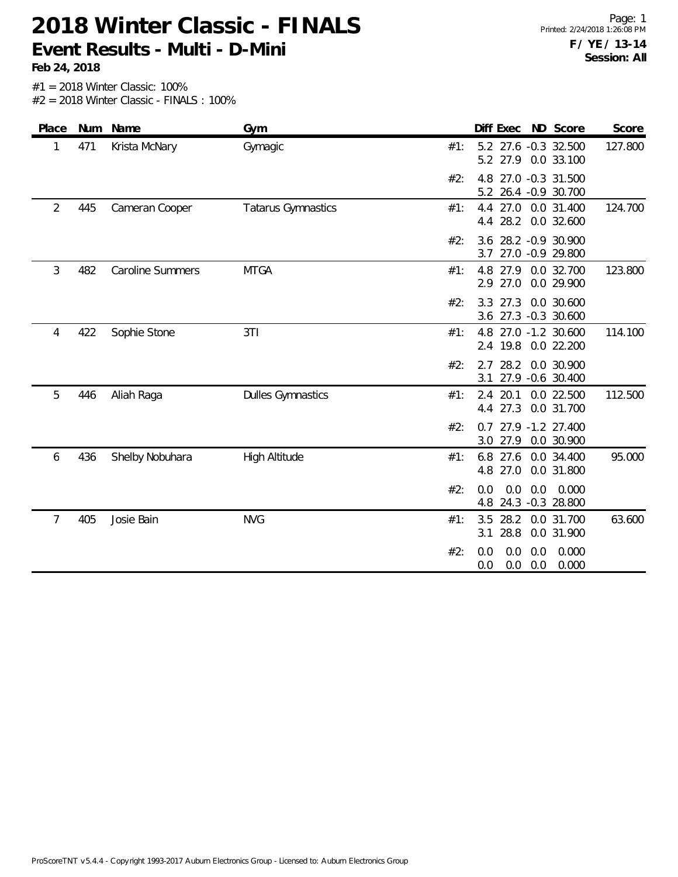**Feb 24, 2018**

| Place          |     | Num Name                | Gym                       | Diff Exec ND Score                                              | Score   |
|----------------|-----|-------------------------|---------------------------|-----------------------------------------------------------------|---------|
| 1              | 471 | Krista McNary           | Gymagic                   | 5.2 27.6 -0.3 32.500<br>#1:<br>5.2 27.9 0.0 33.100              | 127.800 |
|                |     |                         |                           | 27.0 -0.3 31.500<br>#2:<br>4.8<br>5.2<br>26.4 -0.9 30.700       |         |
| $\overline{2}$ | 445 | Cameran Cooper          | <b>Tatarus Gymnastics</b> | 27.0<br>0.0 31.400<br>#1:<br>4.4<br>28.2<br>0.0 32.600<br>4.4   | 124.700 |
|                |     |                         |                           | 28.2 - 0.9 30.900<br>#2:<br>3.6<br>27.0 -0.9 29.800<br>3.7      |         |
| 3              | 482 | <b>Caroline Summers</b> | <b>MTGA</b>               | #1:<br>4.8 27.9 0.0 32.700<br>27.0<br>0.0 29.900<br>2.9         | 123.800 |
|                |     |                         |                           | 3.3<br>27.3<br>0.0 30.600<br>#2:<br>3.6 27.3 -0.3 30.600        |         |
| 4              | 422 | Sophie Stone            | 3T1                       | 4.8 27.0 -1.2 30.600<br>#1:<br>2.4 19.8<br>0.0 22.200           | 114.100 |
|                |     |                         |                           | 28.2<br>0.0 30.900<br>#2:<br>2.7<br>3.1 27.9 -0.6 30.400        |         |
| 5              | 446 | Aliah Raga              | <b>Dulles Gymnastics</b>  | 20.1<br>0.0 22.500<br>#1:<br>2.4<br>27.3<br>0.0 31.700<br>4.4   | 112.500 |
|                |     |                         |                           | 27.9 -1.2 27.400<br>#2:<br>0.7<br>27.9<br>0.0 30.900<br>3.0     |         |
| 6              | 436 | Shelby Nobuhara         | High Altitude             | 27.6<br>6.8<br>0.0 34.400<br>#1:<br>27.0<br>0.0 31.800<br>4.8   | 95.000  |
|                |     |                         |                           | 0.0<br>0.0<br>#2:<br>0.0<br>0.000<br>24.3 -0.3 28.800<br>4.8    |         |
| 7              | 405 | Josie Bain              | <b>NVG</b>                | 28.2<br>3.5<br>0.0 31.700<br>#1:<br>28.8<br>0.0 31.900<br>3.1   | 63.600  |
|                |     |                         |                           | 0.0<br>0.0<br>0.0<br>0.000<br>#2:<br>0.000<br>0.0<br>0.0<br>0.0 |         |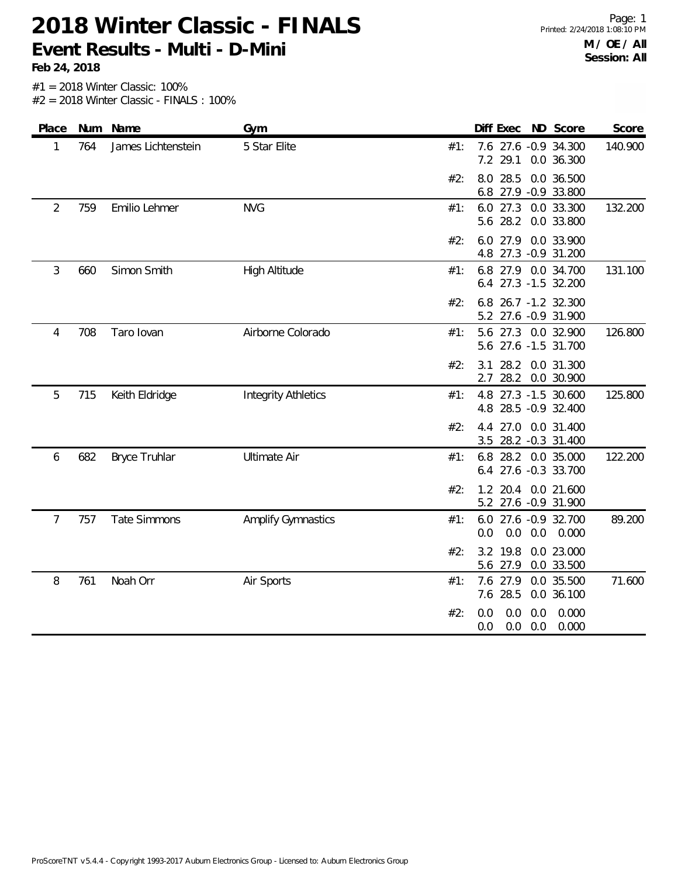**Feb 24, 2018**

| Place          |     | Num Name             | Gym                        |     | Diff Exec                                       | ND Score                  | Score   |
|----------------|-----|----------------------|----------------------------|-----|-------------------------------------------------|---------------------------|---------|
| 1              | 764 | James Lichtenstein   | 5 Star Elite               | #1: | 7.6 27.6 -0.9 34.300<br>7.2<br>29.1             | 0.0 36.300                | 140.900 |
|                |     |                      |                            | #2: | 28.5<br>8.0<br>6.8 27.9 -0.9 33.800             | 0.0 36.500                |         |
| $\overline{2}$ | 759 | Emilio Lehmer        | <b>NVG</b>                 | #1: | 6.0 27.3<br>5.6 28.2                            | 0.0 33.300<br>0.0 33.800  | 132.200 |
|                |     |                      |                            | #2: | 27.9<br>6.0<br>4.8 27.3 -0.9 31.200             | 0.0 33.900                |         |
| 3              | 660 | Simon Smith          | <b>High Altitude</b>       | #1: | 6.8 27.9 0.0 34.700<br>6.4 27.3 -1.5 32.200     |                           | 131.100 |
|                |     |                      |                            | #2: | 26.7 -1.2 32.300<br>6.8<br>5.2 27.6 -0.9 31.900 |                           |         |
| 4              | 708 | Taro lovan           | Airborne Colorado          | #1: | 5.6 27.3 0.0 32.900<br>5.6 27.6 -1.5 31.700     |                           | 126.800 |
|                |     |                      |                            | #2: | 28.2<br>3.1<br>2.7<br>28.2                      | 0.0 31.300<br>0.0 30.900  |         |
| 5              | 715 | Keith Eldridge       | <b>Integrity Athletics</b> | #1: | 4.8<br>4.8 28.5 -0.9 32.400                     | 27.3 -1.5 30.600          | 125.800 |
|                |     |                      |                            | #2: | 4.4<br>3.5 28.2 -0.3 31.400                     | 27.0 0.0 31.400           |         |
| 6              | 682 | <b>Bryce Truhlar</b> | <b>Ultimate Air</b>        | #1: | 6.8 28.2 0.0 35.000<br>6.4 27.6 -0.3 33.700     |                           | 122.200 |
|                |     |                      |                            | #2: | $1.2$ 20.4<br>5.2 27.6 -0.9 31.900              | 0.0 21.600                |         |
| $\overline{7}$ | 757 | <b>Tate Simmons</b>  | <b>Amplify Gymnastics</b>  | #1: | 6.0<br>0.0<br>0.0<br>0.0                        | 27.6 -0.9 32.700<br>0.000 | 89.200  |
|                |     |                      |                            | #2: | 19.8<br>3.2<br>5.6 27.9                         | 0.0 23.000<br>0.0 33.500  |         |
| 8              | 761 | Noah Orr             | Air Sports                 | #1: | 27.9<br>7.6<br>7.6 28.5                         | 0.0 35.500<br>0.0 36.100  | 71.600  |
|                |     |                      |                            | #2: | 0.0<br>0.0<br>0.0<br>0.0<br>0.0<br>0.0          | 0.000<br>0.000            |         |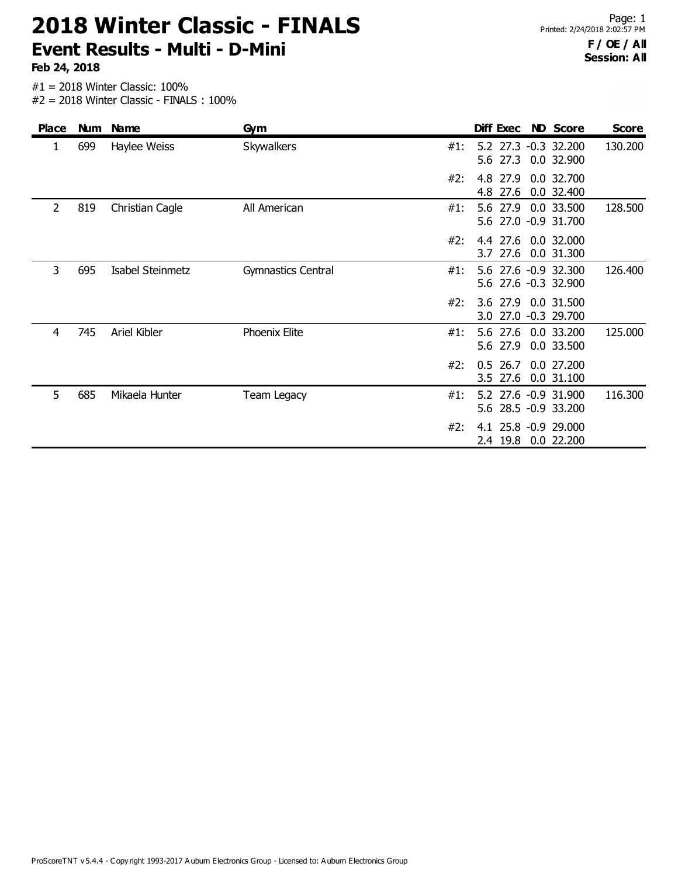**Feb 24, 2018**

| <b>Place</b> |     | Num Name         | Gym                |     | Diff Exec                                    | <b>ND Score</b>          | <b>Score</b> |
|--------------|-----|------------------|--------------------|-----|----------------------------------------------|--------------------------|--------------|
| 1            | 699 | Haylee Weiss     | <b>Skywalkers</b>  | #1: | 5.2 27.3 -0.3 32.200<br>5.6 27.3 0.0 32.900  |                          | 130.200      |
|              |     |                  |                    | #2: | 4.8 27.9<br>4.8 27.6                         | 0.0 32.700<br>0.0 32.400 |              |
| 2            | 819 | Christian Cagle  | All American       | #1: | 5.6 27.9<br>5.6 27.0 -0.9 31.700             | 0.0 33.500               | 128.500      |
|              |     |                  |                    | #2: | 4.4 27.6 0.0 32.000<br>3.7 27.6              | 0.0 31.300               |              |
| 3            | 695 | Isabel Steinmetz | Gymnastics Central | #1: | 5.6 27.6 -0.9 32.300<br>5.6 27.6 -0.3 32.900 |                          | 126.400      |
|              |     |                  |                    | #2: | 3.6 27.9 0.0 31.500<br>3.0 27.0 -0.3 29.700  |                          |              |
| 4            | 745 | Ariel Kibler     | Phoenix Elite      | #1: | 5.6 27.6 0.0 33.200<br>5.6 27.9              | 0.0 33.500               | 125.000      |
|              |     |                  |                    | #2: | $0.5$ 26.7<br>27.6<br>$3.5^{\circ}$          | 0.0 27.200<br>0.0 31.100 |              |
| 5            | 685 | Mikaela Hunter   | <b>Team Legacy</b> | #1: | 5.2 27.6 -0.9 31.900<br>5.6 28.5 -0.9 33.200 |                          | 116.300      |
|              |     |                  |                    | #2: | 4.1 25.8 -0.9 29.000<br>19.8<br>2.4          | 0.0 22.200               |              |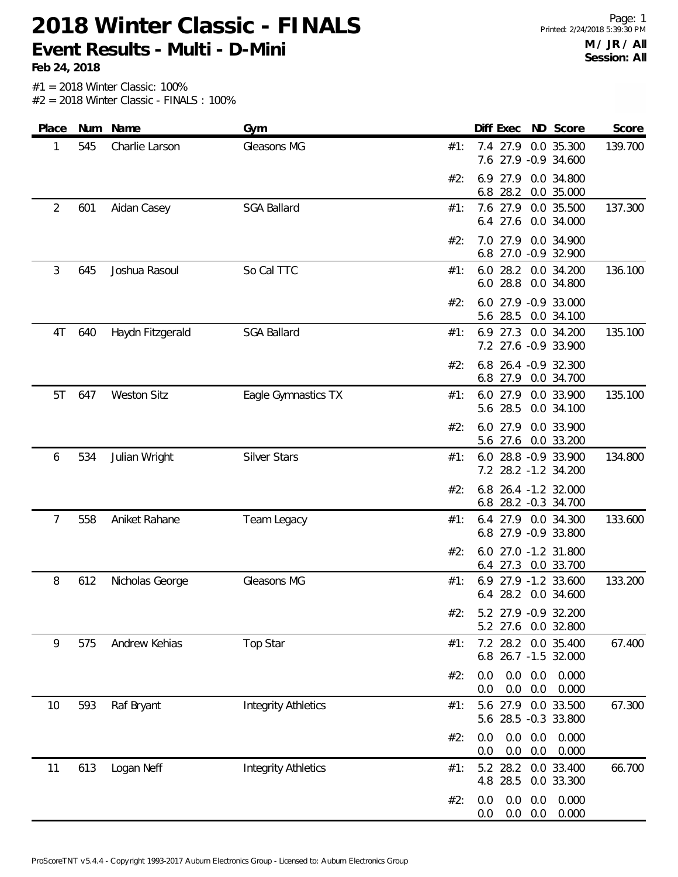**Feb 24, 2018**

| Place | Num | Name               | Gym                        |     | Diff Exec                | ND Score                                     | Score   |
|-------|-----|--------------------|----------------------------|-----|--------------------------|----------------------------------------------|---------|
| 1     | 545 | Charlie Larson     | Gleasons MG                | #1: | 7.4 27.9                 | 0.0 35.300<br>7.6 27.9 -0.9 34.600           | 139.700 |
|       |     |                    |                            | #2: | 6.9 27.9<br>6.8 28.2     | 0.0 34.800<br>0.0 35.000                     |         |
| 2     | 601 | Aidan Casey        | <b>SGA Ballard</b>         | #1: | 6.4 27.6                 | 7.6 27.9 0.0 35.500<br>0.0 34.000            | 137.300 |
|       |     |                    |                            | #2: | 7.0<br>27.9              | 0.0 34.900<br>6.8 27.0 -0.9 32.900           |         |
| 3     | 645 | Joshua Rasoul      | So Cal TTC                 | #1: | 6.0<br>28.2<br>6.0 28.8  | 0.0 34.200<br>0.0 34.800                     | 136.100 |
|       |     |                    |                            | #2: | 5.6 28.5                 | 6.0 27.9 -0.9 33.000<br>0.0 34.100           |         |
| 4T    | 640 | Haydn Fitzgerald   | <b>SGA Ballard</b>         | #1: | $6.9$ 27.3               | 0.0 34.200<br>7.2 27.6 -0.9 33.900           | 135.100 |
|       |     |                    |                            | #2: |                          | 6.8 26.4 -0.9 32.300<br>6.8 27.9 0.0 34.700  |         |
| 5T    | 647 | <b>Weston Sitz</b> | Eagle Gymnastics TX        | #1: | 5.6 28.5                 | 6.0 27.9 0.0 33.900<br>0.0 34.100            | 135.100 |
|       |     |                    |                            | #2: | 6.0 27.9                 | 0.0 33.900<br>5.6 27.6 0.0 33.200            |         |
| 6     | 534 | Julian Wright      | <b>Silver Stars</b>        | #1: |                          | 6.0 28.8 -0.9 33.900<br>7.2 28.2 -1.2 34.200 | 134.800 |
|       |     |                    |                            | #2: | 6.8                      | 6.8 26.4 -1.2 32.000<br>28.2 -0.3 34.700     |         |
| 7     | 558 | Aniket Rahane      | Team Legacy                | #1: | 6.4                      | 27.9 0.0 34.300<br>6.8 27.9 -0.9 33.800      | 133.600 |
|       |     |                    |                            | #2: |                          | 6.0 27.0 -1.2 31.800<br>6.4 27.3 0.0 33.700  |         |
| 8     | 612 | Nicholas George    | Gleasons MG                | #1: | 6.4                      | 6.9 27.9 -1.2 33.600<br>28.2 0.0 34.600      | 133.200 |
|       |     |                    |                            | #2: |                          | 5.2 27.9 -0.9 32.200<br>5.2 27.6 0.0 32.800  |         |
| 9     | 575 | Andrew Kehias      | Top Star                   | #1: |                          | 7.2 28.2 0.0 35.400<br>6.8 26.7 -1.5 32.000  | 67.400  |
|       |     |                    |                            | #2: | 0.0<br>0.0<br>0.0<br>0.0 | 0.0<br>0.000<br>0.0<br>0.000                 |         |
| 10    | 593 | Raf Bryant         | <b>Integrity Athletics</b> | #1: | 5.6 27.9                 | 0.0 33.500<br>5.6 28.5 -0.3 33.800           | 67.300  |
|       |     |                    |                            | #2: | 0.0<br>0.0<br>0.0<br>0.0 | 0.0<br>0.000<br>0.0<br>0.000                 |         |
| 11    | 613 | Logan Neff         | <b>Integrity Athletics</b> | #1: | 5.2 28.2<br>4.8 28.5     | 0.0 33.400<br>0.0 33.300                     | 66.700  |
|       |     |                    |                            | #2: | 0.0<br>0.0<br>0.0<br>0.0 | 0.000<br>0.0<br>0.0<br>0.000                 |         |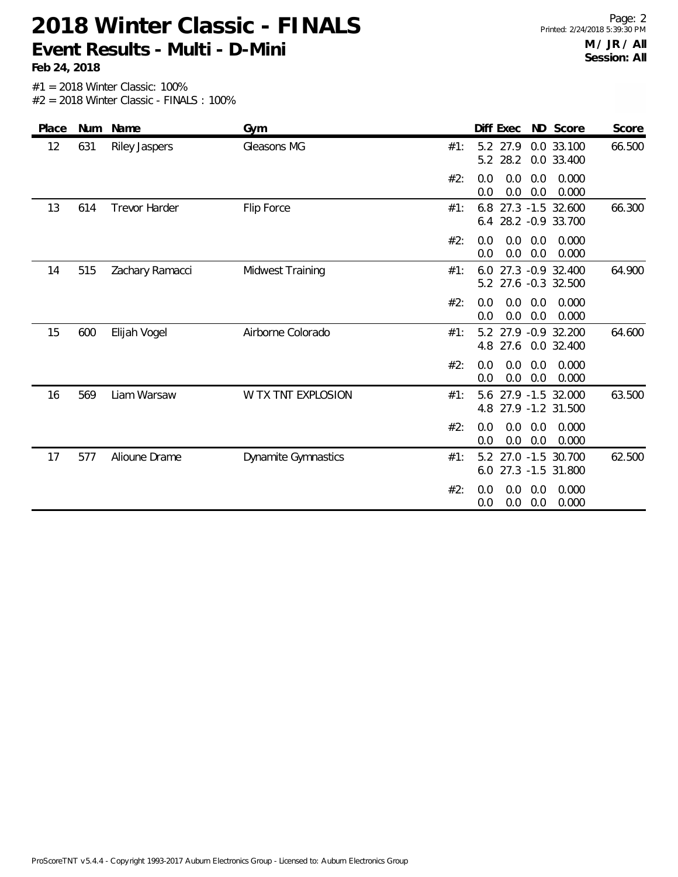**Feb 24, 2018**

| Place | Num | Name                 | Gym                        | Diff Exec ND Score<br>Score                                          |
|-------|-----|----------------------|----------------------------|----------------------------------------------------------------------|
| 12    | 631 | Riley Jaspers        | Gleasons MG                | 66.500<br>5.2 27.9<br>0.0 33.100<br>#1:<br>28.2<br>5.2<br>0.0 33.400 |
|       |     |                      |                            | #2:<br>0.0<br>0.0<br>0.000<br>0.0<br>0.0<br>0.0<br>0.0<br>0.000      |
| 13    | 614 | <b>Trevor Harder</b> | Flip Force                 | 66.300<br>6.8 27.3 -1.5 32.600<br>#1:<br>28.2 - 0.9 33.700<br>6.4    |
|       |     |                      |                            | 0.000<br>#2:<br>0.0<br>0.0<br>0.0<br>0.0<br>0.0<br>0.0<br>0.000      |
| 14    | 515 | Zachary Ramacci      | Midwest Training           | 6.0 27.3 -0.9 32.400<br>64.900<br>#1:<br>5.2 27.6 -0.3 32.500        |
|       |     |                      |                            | #2:<br>0.0<br>0.0<br>0.000<br>0.0<br>0.0<br>0.0<br>0.000<br>0.0      |
| 15    | 600 | Elijah Vogel         | Airborne Colorado          | 5.2 27.9 -0.9 32.200<br>64.600<br>#1:<br>4.8 27.6<br>0.0 32.400      |
|       |     |                      |                            | 0.000<br>#2:<br>0.0<br>0.0<br>0.0<br>0.0<br>0.0<br>0.000<br>0.0      |
| 16    | 569 | Liam Warsaw          | W TX TNT EXPLOSION         | 27.9 -1.5 32.000<br>63.500<br>5.6<br>#1:<br>4.8 27.9 -1.2 31.500     |
|       |     |                      |                            | #2:<br>0.0<br>0.0<br>0.0<br>0.000<br>0.0<br>0.0<br>0.000<br>0.0      |
| 17    | 577 | Alioune Drame        | <b>Dynamite Gymnastics</b> | 27.0 -1.5 30.700<br>62.500<br>5.2<br>#1:<br>6.0 27.3 -1.5 31.800     |
|       |     |                      |                            | #2:<br>0.0<br>0.000<br>0.0<br>0.0<br>0.0<br>0.0<br>0.000<br>0.0      |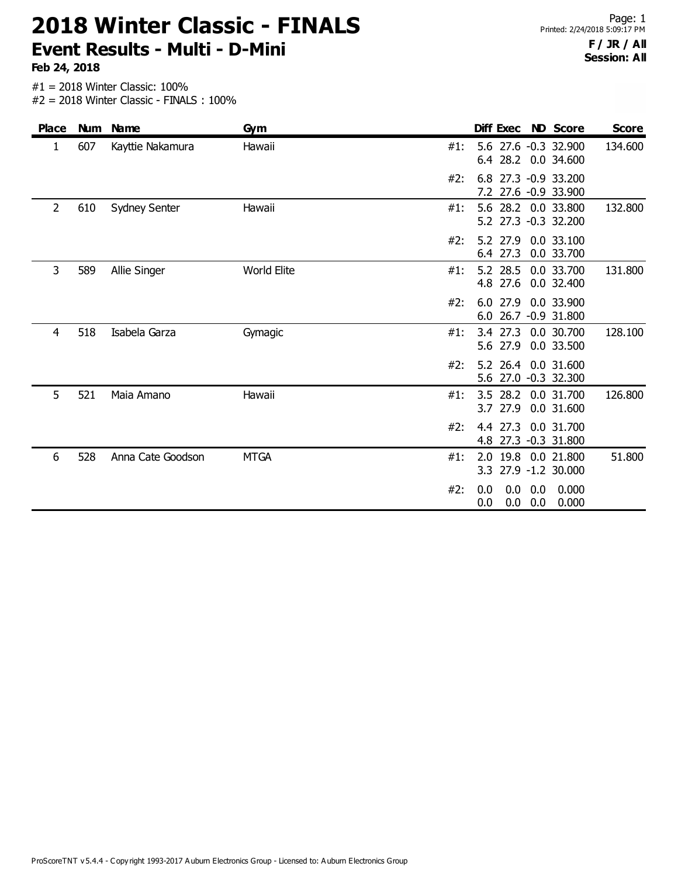**Feb 24, 2018**

| <b>Place</b>   | <b>Num</b> | <b>Name</b>          | Gym                |     |            |                        |            | Diff Exec ND Score                          | <b>Score</b> |
|----------------|------------|----------------------|--------------------|-----|------------|------------------------|------------|---------------------------------------------|--------------|
| 1              | 607        | Kayttie Nakamura     | Hawaii             | #1: |            |                        |            | 5.6 27.6 -0.3 32.900<br>6.4 28.2 0.0 34.600 | 134.600      |
|                |            |                      |                    | #2: | 7.2        |                        |            | 6.8 27.3 -0.9 33.200<br>27.6 -0.9 33.900    |              |
| $\overline{2}$ | 610        | <b>Sydney Senter</b> | Hawaii             | #1: |            |                        |            | 5.6 28.2 0.0 33.800<br>5.2 27.3 -0.3 32.200 | 132.800      |
|                |            |                      |                    | #2: |            | 5.2 27.9<br>6.4 27.3   |            | 0.0 33.100<br>0.0 33.700                    |              |
| 3              | 589        | Allie Singer         | <b>World Elite</b> | #1: |            | 4.8 27.6               |            | 5.2 28.5 0.0 33.700<br>0.0 32.400           | 131.800      |
|                |            |                      |                    | #2: | 6.0        | 27.9                   |            | 0.0 33.900<br>6.0 26.7 -0.9 31.800          |              |
| 4              | 518        | Isabela Garza        | Gymagic            | #1: |            | 5.6 27.9               |            | 3.4 27.3 0.0 30.700<br>0.0 33.500           | 128.100      |
|                |            |                      |                    | #2: |            |                        |            | 5.2 26.4 0.0 31.600<br>5.6 27.0 -0.3 32.300 |              |
| 5              | 521        | Maia Amano           | Hawaii             | #1: |            | $3.5$ 28.2<br>3.7 27.9 |            | 0.0 31.700<br>0.0 31.600                    | 126.800      |
|                |            |                      |                    | #2: | 4.8        | 4.4 27.3               |            | 0.0 31.700<br>27.3 -0.3 31.800              |              |
| 6              | 528        | Anna Cate Goodson    | <b>MTGA</b>        | #1: | 2.0        |                        |            | 19.8 0.0 21.800<br>3.3 27.9 -1.2 30.000     | 51.800       |
|                |            |                      |                    | #2: | 0.0<br>0.0 | 0.0<br>0.0             | 0.0<br>0.0 | 0.000<br>0.000                              |              |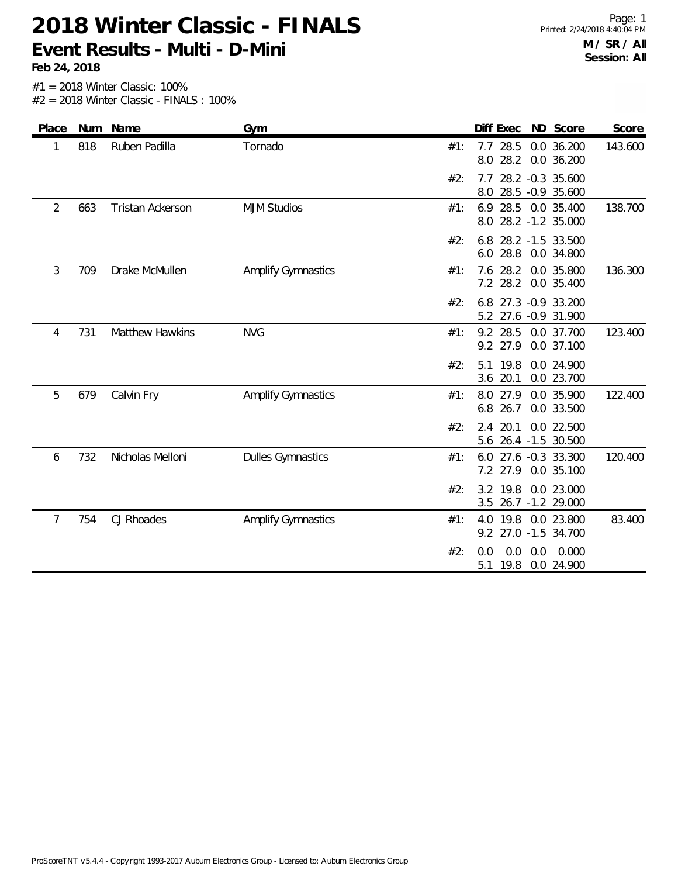**Feb 24, 2018**

| Place          |     | Num Name                | Gym                       |     | Diff Exec                                   | ND Score                             | Score   |
|----------------|-----|-------------------------|---------------------------|-----|---------------------------------------------|--------------------------------------|---------|
| 1              | 818 | Ruben Padilla           | Tornado                   | #1: | 28.5<br>7.7<br>28.2<br>8.0                  | 0.0 36.200<br>0.0 36.200             | 143.600 |
|                |     |                         |                           | #2: | 7.7<br>8.0                                  | 28.2 -0.3 35.600<br>28.5 -0.9 35.600 |         |
| $\overline{2}$ | 663 | <b>Tristan Ackerson</b> | <b>MJM Studios</b>        | #1: | 6.9<br>8.0 28.2 -1.2 35.000                 | 28.5 0.0 35.400                      | 138.700 |
|                |     |                         |                           | #2: | 6.8<br>6.0 28.8                             | 28.2 -1.5 33.500<br>0.0 34.800       |         |
| 3              | 709 | Drake McMullen          | <b>Amplify Gymnastics</b> | #1: | 7.6 28.2 0.0 35.800<br>7.2 28.2             | 0.0 35.400                           | 136.300 |
|                |     |                         |                           | #2: | 6.8<br>5.2 27.6 -0.9 31.900                 | 27.3 -0.9 33.200                     |         |
| 4              | 731 | Matthew Hawkins         | <b>NVG</b>                | #1: | 9.2 28.5<br>9.2 27.9                        | 0.0 37.700<br>0.0 37.100             | 123.400 |
|                |     |                         |                           | #2: | 19.8<br>5.1<br>3.6 20.1                     | 0.0 24.900<br>0.0 23.700             |         |
| 5              | 679 | Calvin Fry              | <b>Amplify Gymnastics</b> | #1: | 8.0 27.9<br>26.7<br>6.8                     | 0.0 35.900<br>0.0 33.500             | 122.400 |
|                |     |                         |                           | #2: | 20.1<br>2.4<br>5.6                          | 0.0 22.500<br>26.4 -1.5 30.500       |         |
| 6              | 732 | Nicholas Melloni        | <b>Dulles Gymnastics</b>  | #1: | 6.0<br>27.9<br>7.2                          | 27.6 -0.3 33.300<br>0.0 35.100       | 120.400 |
|                |     |                         |                           | #2: | 3.2 19.8<br>3.5                             | 0.0 23.000<br>26.7 -1.2 29.000       |         |
| 7              | 754 | CJ Rhoades              | <b>Amplify Gymnastics</b> | #1: | 4.0 19.8 0.0 23.800<br>9.2 27.0 -1.5 34.700 |                                      | 83.400  |
|                |     |                         |                           | #2: | 0.0<br>0.0<br>0.0<br>5.1 19.8               | 0.000<br>0.0 24.900                  |         |